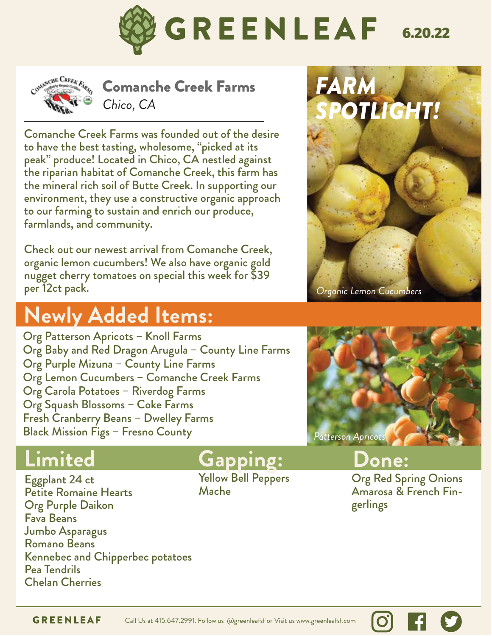



Comanche Creek Farms *Chico, CA*

Comanche Creek Farms was founded out of the desire to have the best tasting, wholesome, "picked at its peak" produce! Located in Chico, CA nestled against the riparian habitat of Comanche Creek, this farm has the mineral rich soil of Butte Creek. In supporting our environment, they use a constructive organic approach to our farming to sustain and enrich our produce, farmlands, and community.

Check out our newest arrival from Comanche Creek, organic lemon cucumbers! We also have organic gold nugget cherry tomatoes on special this week for \$39 per 12ct pack.

# **Newly Added Items:**

Org Patterson Apricots – Knoll Farms Org Baby and Red Dragon Arugula – County Line Farms Org Purple Mizuna – County Line Farms Org Lemon Cucumbers – Comanche Creek Farms Org Carola Potatoes – Riverdog Farms Org Squash Blossoms – Coke Farms Fresh Cranberry Beans – Dwelley Farms Black Mission Figs – Fresno County



 *Organic Lemon Cucumbers*



Eggplant 24 ct Petite Romaine Hearts Org Purple Daikon Fava Beans Jumbo Asparagus Romano Beans Kennebec and Chipperbec potatoes Pea Tendrils Chelan Cherries

### **Limited Gapping:**

Yellow Bell Peppers Mache

### **Done:**

Org Red Spring Onions Amarosa & French Fingerlings

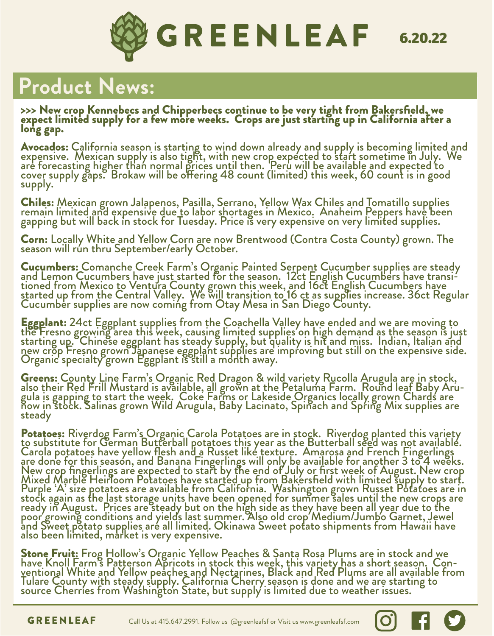

# **Product News:**

>>> New crop Kennebecs and Chipperbecs continue to be very tight from Bakersfield, we expect limited supply for a few more weeks. Crops are just starting up in California after a long gap.

**Avocados:** California season is starting to wind down already and supply is becoming limited and<br>expensive. Mexican supply is also tight, with new crop expected to start sometime in July. We are forecasting higher than normal prices until then. 'Peru will be available and expected to cover supply gaps. Brokaw will be offering 48 count (limited) this week, 60 count is in good supply.

**Chiles:** Mexican grown Jalapenos, Pasilla, Serrano, Yellow Wax Chiles and Tomatillo supplies<br>remain limited and expensive due to labor shortages in Mexico. Anaheim Peppers have been gapping but will back in stock for Tuesday. Price is very expensive on very limited supplies.

Corn: Locally White and Yellow Corn are now Brentwood (Contra Costa County) grown. The season will run thru September/early October.

**Cucumbers:** Comanche Creek Farm's Organic Painted Serpent Cucumber supplies are steady<br>and Lemon Cucumbers have just started for the season. 12ct English Cucumbers have transi-<br>tioned from Mexico to Ventura County grown started up from the Central Valley. We will transition to 16 ct as supplies increase. 36ct Regular Cucumber supplies are now coming from Otay Mesa in San Diego County.

**Eggplant:** 24ct Eggplant supplies from the Coachella Valley have ended and we are moving to<br>the Fresno growing area this week, causing limited supplies on high demand as the season is just starting up. Chinese eggplant has steady supply, but quality is hit and miss. Indian, Italian and new crop Fresno grown Japanese eggplant supplies are improving but still on the expensive side. Organic specialty grown Eggplant is still a month away.

**Greens:** County Line Farm's Organic Red Dragon & wild variety Rucolla Arugula are in stock,<br>also their Red Frill Mustard is available, all grown at the Petaluma Farm. Round leaf Baby Aru-<br>gula is gapping to start the wee now in stock. Salinas grown Wild Arugula, Baby Lacinato, Spinach and Spring Mix supplies are steady

Potatoes: Riverdog Farm's Organic Carola Potatoes are in stock. Riverdog planted this variety<br>to substitute for German Butterball potatoes this year as the Butterball seed was not available. Carola potatoes have yellow flesh and a Russet like texture. Amarosa and French Fingerlings are done for this season, and Banana Fingerlings will only be available for another 3 to 4 weeks. New crop fingerlings are expected to start by the end of July or first week of August. New crop Mixed Marble Heirloom Potatoes have started up from Bakersfield with limited supply to start. Purple 'A' size potatoes are available from California. Washington grown Russet Potatoes are in stock again as the last storage units have been opened for summer sales until the new crops are ready in August. Prices are steady but on the high side as they have been all year due to the poor/growing conditions and yields last summer. Also old crop/Medium/Jumbo Garnet, Jewel and Sweet põtato supplies aré all limited. Okinawa Sweet potato shipments from Hawáii have also been limited, market is very expensive.

**Stone Fruit:** Frog Hollow's Organic Yellow Peaches & Santa Rosa Plums are in stock and we<br>have Knoll Farm's Patterson Apricots in stock this week, this variety has a short season. Con-<br>ventional White and Yellow peaches Tulare County with steady supply. California Cherry season is done and we are starting to source Cherries from Washington State, but supply is limited due to weather issues.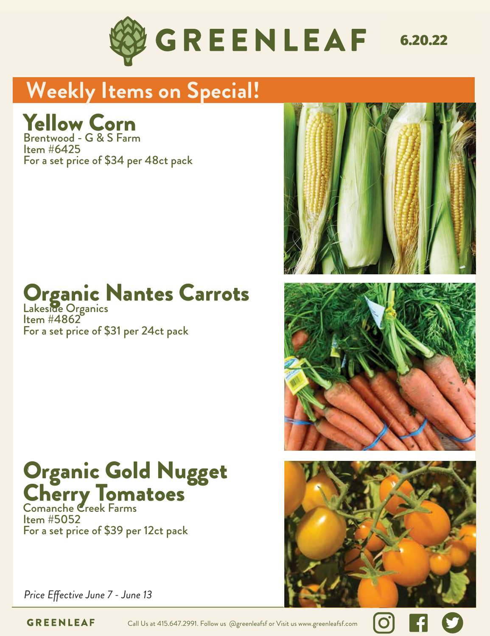

# **Weekly Items on Special!**

# Yellow Corn<br>Brotswed Gas Fran

 $I$ <sub>tem</sub>  $#6425$ For a set price of \$34 per 48ct pack Brentwood - G & S Farm

# Organic Nantes Carrots

ltem #4862<br>For a set price of \$31 per 24ct pack Lakeside Organics Item #4862

#### Organic Gold Nugget Cherry Io Organic Gold Nugget Cherry Tomatoes

Item #2030 10lb pack For a set price of \$39 per 12ct pack Comanche Creek Farms Item #5052







*Price Effective June 7 - June 13* 

**GREENLEAF** Call Us at 415.647.2991. Follow us @greenleafsf or Visit us www.greenleafsf.com

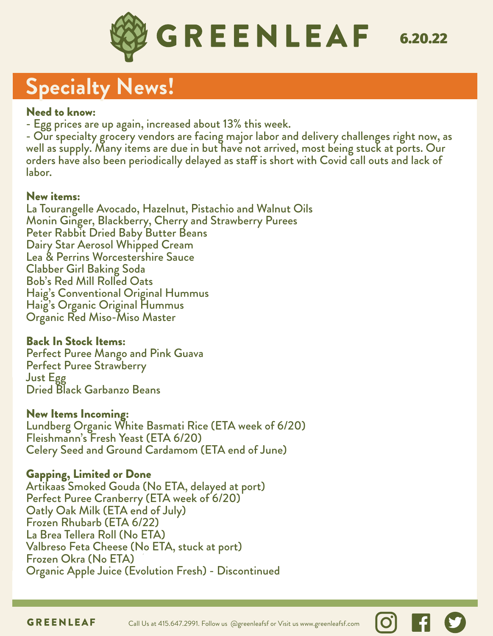

# **Specialty News!**

#### Need to know:

- Egg prices are up again, increased about 13% this week.

- Our specialty grocery vendors are facing major labor and delivery challenges right now, as well as supply. Many items are due in but have not arrived, most being stuck at ports. Our orders have also been periodically delayed as staff is short with Covid call outs and lack of labor.

#### New items:

La Tourangelle Avocado, Hazelnut, Pistachio and Walnut Oils Monin Ginger, Blackberry, Cherry and Strawberry Purees Peter Rabbit Dried Baby Butter Beans Dairy Star Aerosol Whipped Cream Lea & Perrins Worcestershire Sauce Clabber Girl Baking Soda Bob's Red Mill Rolled Oats Haig's Conventional Original Hummus Haig's Organic Original Hummus Organic Red Miso-Miso Master

#### Back In Stock Items:

Perfect Puree Mango and Pink Guava Perfect Puree Strawberry Just Egg Dried Black Garbanzo Beans

#### New Items Incoming:

Lundberg Organic White Basmati Rice (ETA week of 6/20) Fleishmann's Fresh Yeast (ETA 6/20) Celery Seed and Ground Cardamom (ETA end of June)

#### Gapping, Limited or Done

Artikaas Smoked Gouda (No ETA, delayed at port) Perfect Puree Cranberry (ETA week of 6/20) Oatly Oak Milk (ETA end of July) Frozen Rhubarb (ETA 6/22) La Brea Tellera Roll (No ETA) Valbreso Feta Cheese (No ETA, stuck at port) Frozen Okra (No ETA) Organic Apple Juice (Evolution Fresh) - Discontinued